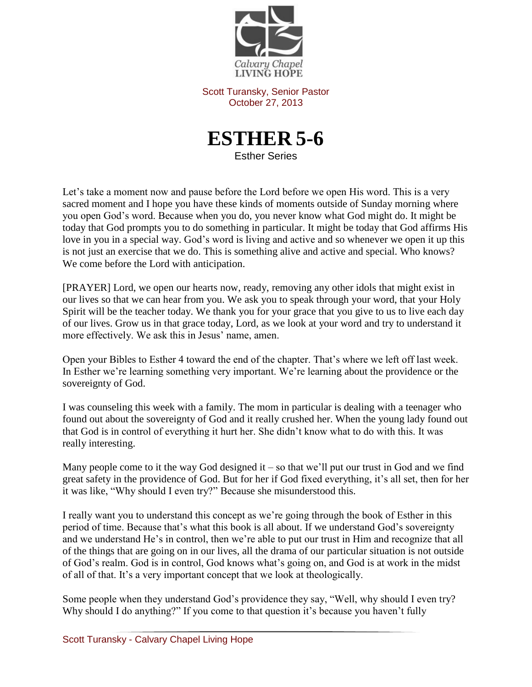

Scott Turansky, Senior Pastor October 27, 2013



Let's take a moment now and pause before the Lord before we open His word. This is a very sacred moment and I hope you have these kinds of moments outside of Sunday morning where you open God's word. Because when you do, you never know what God might do. It might be today that God prompts you to do something in particular. It might be today that God affirms His love in you in a special way. God's word is living and active and so whenever we open it up this is not just an exercise that we do. This is something alive and active and special. Who knows? We come before the Lord with anticipation.

[PRAYER] Lord, we open our hearts now, ready, removing any other idols that might exist in our lives so that we can hear from you. We ask you to speak through your word, that your Holy Spirit will be the teacher today. We thank you for your grace that you give to us to live each day of our lives. Grow us in that grace today, Lord, as we look at your word and try to understand it more effectively. We ask this in Jesus' name, amen.

Open your Bibles to Esther 4 toward the end of the chapter. That's where we left off last week. In Esther we're learning something very important. We're learning about the providence or the sovereignty of God.

I was counseling this week with a family. The mom in particular is dealing with a teenager who found out about the sovereignty of God and it really crushed her. When the young lady found out that God is in control of everything it hurt her. She didn't know what to do with this. It was really interesting.

Many people come to it the way God designed it – so that we'll put our trust in God and we find great safety in the providence of God. But for her if God fixed everything, it's all set, then for her it was like, "Why should I even try?" Because she misunderstood this.

I really want you to understand this concept as we're going through the book of Esther in this period of time. Because that's what this book is all about. If we understand God's sovereignty and we understand He's in control, then we're able to put our trust in Him and recognize that all of the things that are going on in our lives, all the drama of our particular situation is not outside of God's realm. God is in control, God knows what's going on, and God is at work in the midst of all of that. It's a very important concept that we look at theologically.

Some people when they understand God's providence they say, "Well, why should I even try? Why should I do anything?" If you come to that question it's because you haven't fully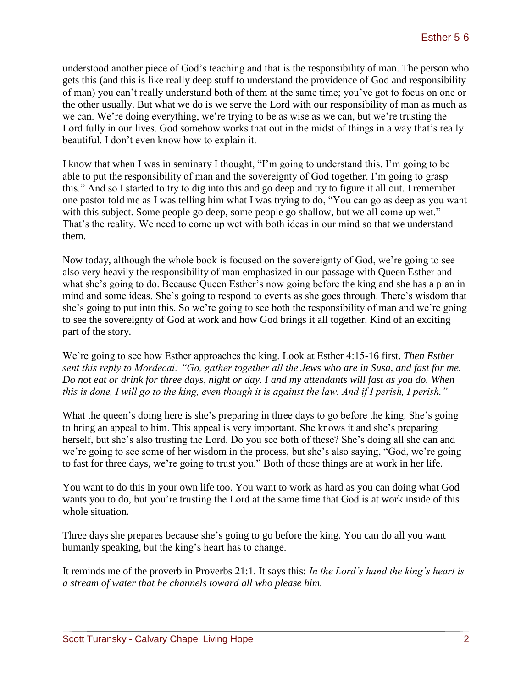understood another piece of God's teaching and that is the responsibility of man. The person who gets this (and this is like really deep stuff to understand the providence of God and responsibility of man) you can't really understand both of them at the same time; you've got to focus on one or the other usually. But what we do is we serve the Lord with our responsibility of man as much as we can. We're doing everything, we're trying to be as wise as we can, but we're trusting the Lord fully in our lives. God somehow works that out in the midst of things in a way that's really beautiful. I don't even know how to explain it.

I know that when I was in seminary I thought, "I'm going to understand this. I'm going to be able to put the responsibility of man and the sovereignty of God together. I'm going to grasp this." And so I started to try to dig into this and go deep and try to figure it all out. I remember one pastor told me as I was telling him what I was trying to do, "You can go as deep as you want with this subject. Some people go deep, some people go shallow, but we all come up wet." That's the reality. We need to come up wet with both ideas in our mind so that we understand them.

Now today, although the whole book is focused on the sovereignty of God, we're going to see also very heavily the responsibility of man emphasized in our passage with Queen Esther and what she's going to do. Because Queen Esther's now going before the king and she has a plan in mind and some ideas. She's going to respond to events as she goes through. There's wisdom that she's going to put into this. So we're going to see both the responsibility of man and we're going to see the sovereignty of God at work and how God brings it all together. Kind of an exciting part of the story.

We're going to see how Esther approaches the king. Look at Esther 4:15-16 first. *Then Esther sent this reply to Mordecai: "Go, gather together all the Jews who are in Susa, and fast for me. Do not eat or drink for three days, night or day. I and my attendants will fast as you do. When this is done, I will go to the king, even though it is against the law. And if I perish, I perish."*

What the queen's doing here is she's preparing in three days to go before the king. She's going to bring an appeal to him. This appeal is very important. She knows it and she's preparing herself, but she's also trusting the Lord. Do you see both of these? She's doing all she can and we're going to see some of her wisdom in the process, but she's also saying, "God, we're going to fast for three days, we're going to trust you." Both of those things are at work in her life.

You want to do this in your own life too. You want to work as hard as you can doing what God wants you to do, but you're trusting the Lord at the same time that God is at work inside of this whole situation.

Three days she prepares because she's going to go before the king. You can do all you want humanly speaking, but the king's heart has to change.

It reminds me of the proverb in Proverbs 21:1. It says this: *In the Lord's hand the king's heart is a stream of water that he channels toward all who please him.*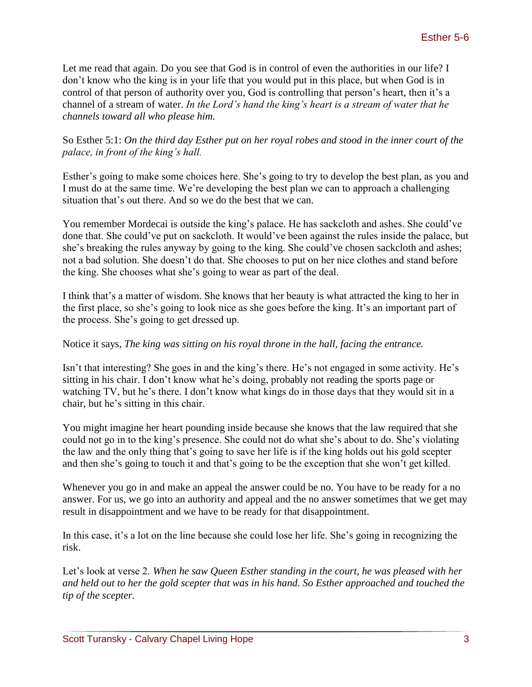Let me read that again. Do you see that God is in control of even the authorities in our life? I don't know who the king is in your life that you would put in this place, but when God is in control of that person of authority over you, God is controlling that person's heart, then it's a channel of a stream of water. *In the Lord's hand the king's heart is a stream of water that he channels toward all who please him.* 

## So Esther 5:1: *On the third day Esther put on her royal robes and stood in the inner court of the palace, in front of the king's hall.*

Esther's going to make some choices here. She's going to try to develop the best plan, as you and I must do at the same time. We're developing the best plan we can to approach a challenging situation that's out there. And so we do the best that we can.

You remember Mordecai is outside the king's palace. He has sackcloth and ashes. She could've done that. She could've put on sackcloth. It would've been against the rules inside the palace, but she's breaking the rules anyway by going to the king. She could've chosen sackcloth and ashes; not a bad solution. She doesn't do that. She chooses to put on her nice clothes and stand before the king. She chooses what she's going to wear as part of the deal.

I think that's a matter of wisdom. She knows that her beauty is what attracted the king to her in the first place, so she's going to look nice as she goes before the king. It's an important part of the process. She's going to get dressed up.

## Notice it says, *The king was sitting on his royal throne in the hall, facing the entrance.*

Isn't that interesting? She goes in and the king's there. He's not engaged in some activity. He's sitting in his chair. I don't know what he's doing, probably not reading the sports page or watching TV, but he's there. I don't know what kings do in those days that they would sit in a chair, but he's sitting in this chair.

You might imagine her heart pounding inside because she knows that the law required that she could not go in to the king's presence. She could not do what she's about to do. She's violating the law and the only thing that's going to save her life is if the king holds out his gold scepter and then she's going to touch it and that's going to be the exception that she won't get killed.

Whenever you go in and make an appeal the answer could be no. You have to be ready for a no answer. For us, we go into an authority and appeal and the no answer sometimes that we get may result in disappointment and we have to be ready for that disappointment.

In this case, it's a lot on the line because she could lose her life. She's going in recognizing the risk.

Let's look at verse 2. *When he saw Queen Esther standing in the court, he was pleased with her and held out to her the gold scepter that was in his hand. So Esther approached and touched the tip of the scepter.*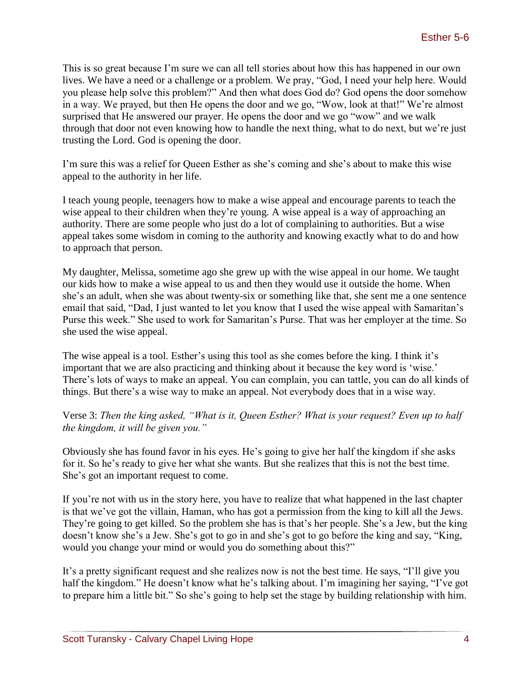This is so great because I'm sure we can all tell stories about how this has happened in our own lives. We have a need or a challenge or a problem. We pray, "God, I need your help here. Would you please help solve this problem?" And then what does God do? God opens the door somehow in a way. We prayed, but then He opens the door and we go, "Wow, look at that!" We're almost surprised that He answered our prayer. He opens the door and we go "wow" and we walk through that door not even knowing how to handle the next thing, what to do next, but we're just trusting the Lord. God is opening the door.

I'm sure this was a relief for Queen Esther as she's coming and she's about to make this wise appeal to the authority in her life.

I teach young people, teenagers how to make a wise appeal and encourage parents to teach the wise appeal to their children when they're young. A wise appeal is a way of approaching an authority. There are some people who just do a lot of complaining to authorities. But a wise appeal takes some wisdom in coming to the authority and knowing exactly what to do and how to approach that person.

My daughter, Melissa, sometime ago she grew up with the wise appeal in our home. We taught our kids how to make a wise appeal to us and then they would use it outside the home. When she's an adult, when she was about twenty-six or something like that, she sent me a one sentence email that said, "Dad, I just wanted to let you know that I used the wise appeal with Samaritan's Purse this week." She used to work for Samaritan's Purse. That was her employer at the time. So she used the wise appeal.

The wise appeal is a tool. Esther's using this tool as she comes before the king. I think it's important that we are also practicing and thinking about it because the key word is 'wise.' There's lots of ways to make an appeal. You can complain, you can tattle, you can do all kinds of things. But there's a wise way to make an appeal. Not everybody does that in a wise way.

Verse 3: *Then the king asked, "What is it, Queen Esther? What is your request? Even up to half the kingdom, it will be given you."*

Obviously she has found favor in his eyes. He's going to give her half the kingdom if she asks for it. So he's ready to give her what she wants. But she realizes that this is not the best time. She's got an important request to come.

If you're not with us in the story here, you have to realize that what happened in the last chapter is that we've got the villain, Haman, who has got a permission from the king to kill all the Jews. They're going to get killed. So the problem she has is that's her people. She's a Jew, but the king doesn't know she's a Jew. She's got to go in and she's got to go before the king and say, "King, would you change your mind or would you do something about this?"

It's a pretty significant request and she realizes now is not the best time. He says, "I'll give you half the kingdom." He doesn't know what he's talking about. I'm imagining her saying, "I've got to prepare him a little bit." So she's going to help set the stage by building relationship with him.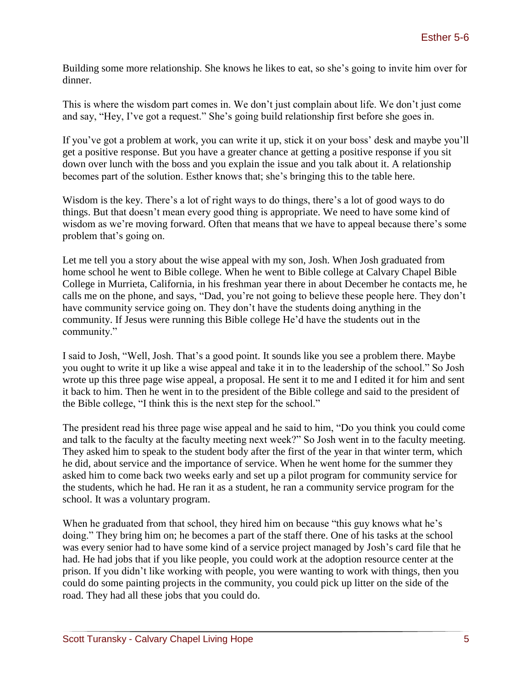Building some more relationship. She knows he likes to eat, so she's going to invite him over for dinner.

This is where the wisdom part comes in. We don't just complain about life. We don't just come and say, "Hey, I've got a request." She's going build relationship first before she goes in.

If you've got a problem at work, you can write it up, stick it on your boss' desk and maybe you'll get a positive response. But you have a greater chance at getting a positive response if you sit down over lunch with the boss and you explain the issue and you talk about it. A relationship becomes part of the solution. Esther knows that; she's bringing this to the table here.

Wisdom is the key. There's a lot of right ways to do things, there's a lot of good ways to do things. But that doesn't mean every good thing is appropriate. We need to have some kind of wisdom as we're moving forward. Often that means that we have to appeal because there's some problem that's going on.

Let me tell you a story about the wise appeal with my son, Josh. When Josh graduated from home school he went to Bible college. When he went to Bible college at Calvary Chapel Bible College in Murrieta, California, in his freshman year there in about December he contacts me, he calls me on the phone, and says, "Dad, you're not going to believe these people here. They don't have community service going on. They don't have the students doing anything in the community. If Jesus were running this Bible college He'd have the students out in the community."

I said to Josh, "Well, Josh. That's a good point. It sounds like you see a problem there. Maybe you ought to write it up like a wise appeal and take it in to the leadership of the school." So Josh wrote up this three page wise appeal, a proposal. He sent it to me and I edited it for him and sent it back to him. Then he went in to the president of the Bible college and said to the president of the Bible college, "I think this is the next step for the school."

The president read his three page wise appeal and he said to him, "Do you think you could come and talk to the faculty at the faculty meeting next week?" So Josh went in to the faculty meeting. They asked him to speak to the student body after the first of the year in that winter term, which he did, about service and the importance of service. When he went home for the summer they asked him to come back two weeks early and set up a pilot program for community service for the students, which he had. He ran it as a student, he ran a community service program for the school. It was a voluntary program.

When he graduated from that school, they hired him on because "this guy knows what he's doing." They bring him on; he becomes a part of the staff there. One of his tasks at the school was every senior had to have some kind of a service project managed by Josh's card file that he had. He had jobs that if you like people, you could work at the adoption resource center at the prison. If you didn't like working with people, you were wanting to work with things, then you could do some painting projects in the community, you could pick up litter on the side of the road. They had all these jobs that you could do.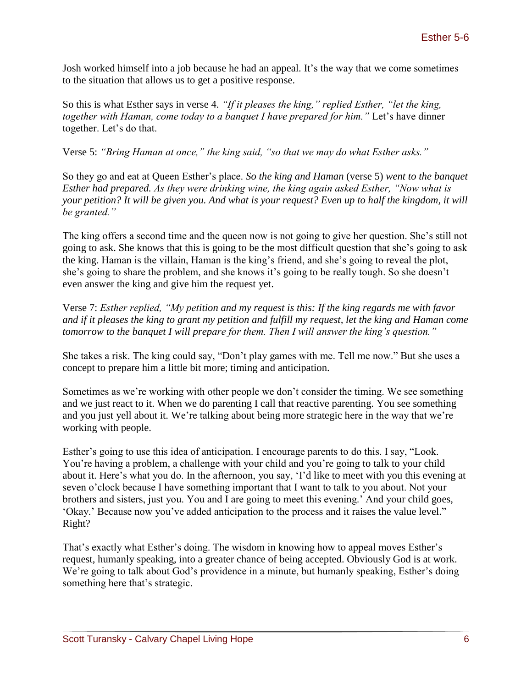Josh worked himself into a job because he had an appeal. It's the way that we come sometimes to the situation that allows us to get a positive response.

So this is what Esther says in verse 4. *"If it pleases the king," replied Esther, "let the king, together with Haman, come today to a banquet I have prepared for him."* Let's have dinner together. Let's do that.

Verse 5: *"Bring Haman at once," the king said, "so that we may do what Esther asks."*

So they go and eat at Queen Esther's place. *So the king and Haman* (verse 5) *went to the banquet Esther had prepared. As they were drinking wine, the king again asked Esther, "Now what is your petition? It will be given you. And what is your request? Even up to half the kingdom, it will be granted."*

The king offers a second time and the queen now is not going to give her question. She's still not going to ask. She knows that this is going to be the most difficult question that she's going to ask the king. Haman is the villain, Haman is the king's friend, and she's going to reveal the plot, she's going to share the problem, and she knows it's going to be really tough. So she doesn't even answer the king and give him the request yet.

Verse 7: *Esther replied, "My petition and my request is this: If the king regards me with favor and if it pleases the king to grant my petition and fulfill my request, let the king and Haman come tomorrow to the banquet I will prepare for them. Then I will answer the king's question."*

She takes a risk. The king could say, "Don't play games with me. Tell me now." But she uses a concept to prepare him a little bit more; timing and anticipation.

Sometimes as we're working with other people we don't consider the timing. We see something and we just react to it. When we do parenting I call that reactive parenting. You see something and you just yell about it. We're talking about being more strategic here in the way that we're working with people.

Esther's going to use this idea of anticipation. I encourage parents to do this. I say, "Look. You're having a problem, a challenge with your child and you're going to talk to your child about it. Here's what you do. In the afternoon, you say, 'I'd like to meet with you this evening at seven o'clock because I have something important that I want to talk to you about. Not your brothers and sisters, just you. You and I are going to meet this evening.' And your child goes, 'Okay.' Because now you've added anticipation to the process and it raises the value level." Right?

That's exactly what Esther's doing. The wisdom in knowing how to appeal moves Esther's request, humanly speaking, into a greater chance of being accepted. Obviously God is at work. We're going to talk about God's providence in a minute, but humanly speaking, Esther's doing something here that's strategic.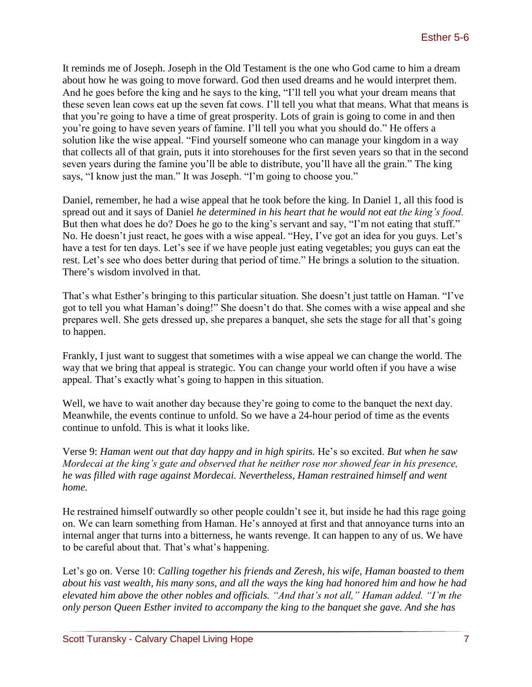It reminds me of Joseph. Joseph in the Old Testament is the one who God came to him a dream about how he was going to move forward. God then used dreams and he would interpret them. And he goes before the king and he says to the king, "I'll tell you what your dream means that these seven lean cows eat up the seven fat cows. I'll tell you what that means. What that means is that you're going to have a time of great prosperity. Lots of grain is going to come in and then you're going to have seven years of famine. I'll tell you what you should do." He offers a solution like the wise appeal. "Find yourself someone who can manage your kingdom in a way that collects all of that grain, puts it into storehouses for the first seven years so that in the second seven years during the famine you'll be able to distribute, you'll have all the grain." The king says, "I know just the man." It was Joseph. "I'm going to choose you."

Daniel, remember, he had a wise appeal that he took before the king. In Daniel 1, all this food is spread out and it says of Daniel *he determined in his heart that he would not eat the king's food.*  But then what does he do? Does he go to the king's servant and say, "I'm not eating that stuff." No. He doesn't just react, he goes with a wise appeal. "Hey, I've got an idea for you guys. Let's have a test for ten days. Let's see if we have people just eating vegetables; you guys can eat the rest. Let's see who does better during that period of time." He brings a solution to the situation. There's wisdom involved in that.

That's what Esther's bringing to this particular situation. She doesn't just tattle on Haman. "I've got to tell you what Haman's doing!" She doesn't do that. She comes with a wise appeal and she prepares well. She gets dressed up, she prepares a banquet, she sets the stage for all that's going to happen.

Frankly, I just want to suggest that sometimes with a wise appeal we can change the world. The way that we bring that appeal is strategic. You can change your world often if you have a wise appeal. That's exactly what's going to happen in this situation.

Well, we have to wait another day because they're going to come to the banquet the next day. Meanwhile, the events continue to unfold. So we have a 24-hour period of time as the events continue to unfold. This is what it looks like.

Verse 9: *Haman went out that day happy and in high spirits.* He's so excited. *But when he saw Mordecai at the king's gate and observed that he neither rose nor showed fear in his presence, he was filled with rage against Mordecai. Nevertheless, Haman restrained himself and went home.*

He restrained himself outwardly so other people couldn't see it, but inside he had this rage going on. We can learn something from Haman. He's annoyed at first and that annoyance turns into an internal anger that turns into a bitterness, he wants revenge. It can happen to any of us. We have to be careful about that. That's what's happening.

Let's go on. Verse 10: *Calling together his friends and Zeresh, his wife, Haman boasted to them about his vast wealth, his many sons, and all the ways the king had honored him and how he had elevated him above the other nobles and officials. "And that's not all," Haman added. "I'm the only person Queen Esther invited to accompany the king to the banquet she gave. And she has*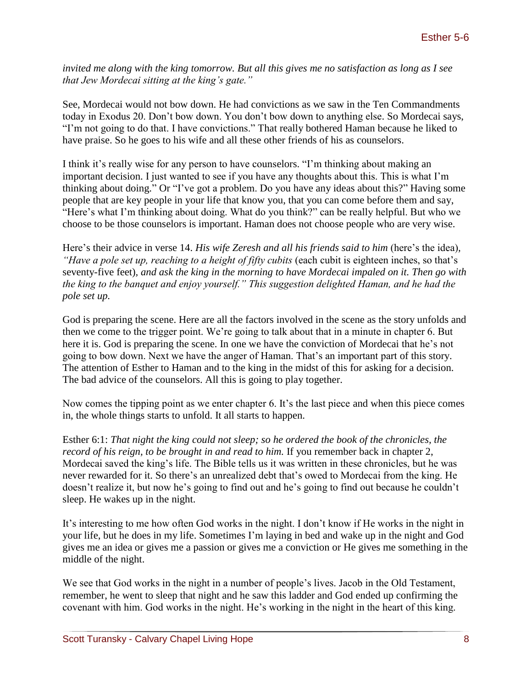*invited me along with the king tomorrow. But all this gives me no satisfaction as long as I see that Jew Mordecai sitting at the king's gate."*

See, Mordecai would not bow down. He had convictions as we saw in the Ten Commandments today in Exodus 20. Don't bow down. You don't bow down to anything else. So Mordecai says, "I'm not going to do that. I have convictions." That really bothered Haman because he liked to have praise. So he goes to his wife and all these other friends of his as counselors.

I think it's really wise for any person to have counselors. "I'm thinking about making an important decision. I just wanted to see if you have any thoughts about this. This is what I'm thinking about doing." Or "I've got a problem. Do you have any ideas about this?" Having some people that are key people in your life that know you, that you can come before them and say, "Here's what I'm thinking about doing. What do you think?" can be really helpful. But who we choose to be those counselors is important. Haman does not choose people who are very wise.

Here's their advice in verse 14. *His wife Zeresh and all his friends said to him* (here's the idea)*, "Have a pole set up, reaching to a height of fifty cubits* (each cubit is eighteen inches, so that's seventy-five feet)*, and ask the king in the morning to have Mordecai impaled on it. Then go with the king to the banquet and enjoy yourself." This suggestion delighted Haman, and he had the pole set up.*

God is preparing the scene. Here are all the factors involved in the scene as the story unfolds and then we come to the trigger point. We're going to talk about that in a minute in chapter 6. But here it is. God is preparing the scene. In one we have the conviction of Mordecai that he's not going to bow down. Next we have the anger of Haman. That's an important part of this story. The attention of Esther to Haman and to the king in the midst of this for asking for a decision. The bad advice of the counselors. All this is going to play together.

Now comes the tipping point as we enter chapter 6. It's the last piece and when this piece comes in, the whole things starts to unfold. It all starts to happen.

Esther 6:1: *That night the king could not sleep; so he ordered the book of the chronicles, the record of his reign, to be brought in and read to him.* If you remember back in chapter 2, Mordecai saved the king's life. The Bible tells us it was written in these chronicles, but he was never rewarded for it. So there's an unrealized debt that's owed to Mordecai from the king. He doesn't realize it, but now he's going to find out and he's going to find out because he couldn't sleep. He wakes up in the night.

It's interesting to me how often God works in the night. I don't know if He works in the night in your life, but he does in my life. Sometimes I'm laying in bed and wake up in the night and God gives me an idea or gives me a passion or gives me a conviction or He gives me something in the middle of the night.

We see that God works in the night in a number of people's lives. Jacob in the Old Testament, remember, he went to sleep that night and he saw this ladder and God ended up confirming the covenant with him. God works in the night. He's working in the night in the heart of this king.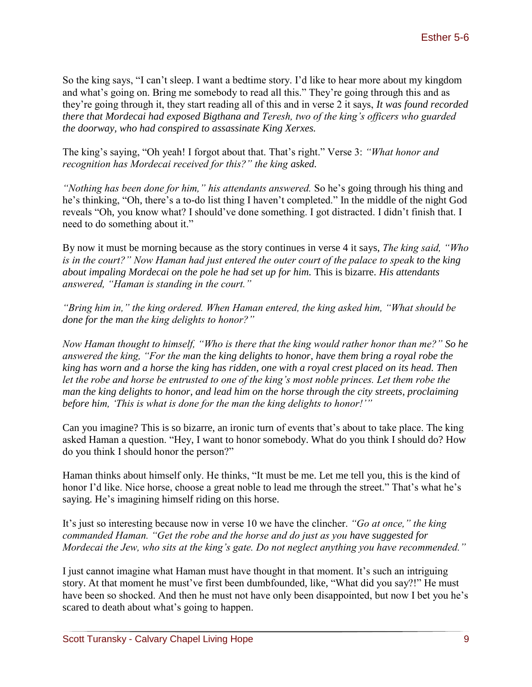So the king says, "I can't sleep. I want a bedtime story. I'd like to hear more about my kingdom and what's going on. Bring me somebody to read all this." They're going through this and as they're going through it, they start reading all of this and in verse 2 it says, *It was found recorded there that Mordecai had exposed Bigthana and Teresh, two of the king's officers who guarded the doorway, who had conspired to assassinate King Xerxes.*

The king's saying, "Oh yeah! I forgot about that. That's right." Verse 3: *"What honor and recognition has Mordecai received for this?" the king asked.*

*"Nothing has been done for him," his attendants answered.* So he's going through his thing and he's thinking, "Oh, there's a to-do list thing I haven't completed." In the middle of the night God reveals "Oh, you know what? I should've done something. I got distracted. I didn't finish that. I need to do something about it."

By now it must be morning because as the story continues in verse 4 it says, *The king said, "Who is in the court?" Now Haman had just entered the outer court of the palace to speak to the king about impaling Mordecai on the pole he had set up for him.* This is bizarre. *His attendants answered, "Haman is standing in the court."*

*"Bring him in," the king ordered. When Haman entered, the king asked him, "What should be done for the man the king delights to honor?"*

*Now Haman thought to himself, "Who is there that the king would rather honor than me?" So he answered the king, "For the man the king delights to honor, have them bring a royal robe the king has worn and a horse the king has ridden, one with a royal crest placed on its head. Then let the robe and horse be entrusted to one of the king's most noble princes. Let them robe the man the king delights to honor, and lead him on the horse through the city streets, proclaiming before him, 'This is what is done for the man the king delights to honor!'"*

Can you imagine? This is so bizarre, an ironic turn of events that's about to take place. The king asked Haman a question. "Hey, I want to honor somebody. What do you think I should do? How do you think I should honor the person?"

Haman thinks about himself only. He thinks, "It must be me. Let me tell you, this is the kind of honor I'd like. Nice horse, choose a great noble to lead me through the street." That's what he's saying. He's imagining himself riding on this horse.

It's just so interesting because now in verse 10 we have the clincher. *"Go at once," the king commanded Haman. "Get the robe and the horse and do just as you have suggested for Mordecai the Jew, who sits at the king's gate. Do not neglect anything you have recommended."*

I just cannot imagine what Haman must have thought in that moment. It's such an intriguing story. At that moment he must've first been dumbfounded, like, "What did you say?!" He must have been so shocked. And then he must not have only been disappointed, but now I bet you he's scared to death about what's going to happen.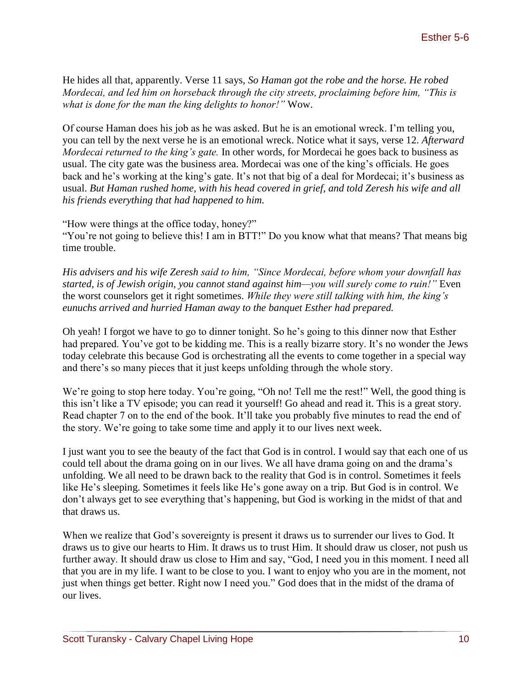He hides all that, apparently. Verse 11 says, *So Haman got the robe and the horse. He robed Mordecai, and led him on horseback through the city streets, proclaiming before him, "This is what is done for the man the king delights to honor!"* Wow.

Of course Haman does his job as he was asked. But he is an emotional wreck. I'm telling you, you can tell by the next verse he is an emotional wreck. Notice what it says, verse 12. *Afterward Mordecai returned to the king's gate.* In other words, for Mordecai he goes back to business as usual. The city gate was the business area. Mordecai was one of the king's officials. He goes back and he's working at the king's gate. It's not that big of a deal for Mordecai; it's business as usual. *But Haman rushed home, with his head covered in grief, and told Zeresh his wife and all his friends everything that had happened to him.*

"How were things at the office today, honey?" "You're not going to believe this! I am in BTT!" Do you know what that means? That means big time trouble.

*His advisers and his wife Zeresh said to him, "Since Mordecai, before whom your downfall has started, is of Jewish origin, you cannot stand against him—you will surely come to ruin!"* Even the worst counselors get it right sometimes. *While they were still talking with him, the king's eunuchs arrived and hurried Haman away to the banquet Esther had prepared.*

Oh yeah! I forgot we have to go to dinner tonight. So he's going to this dinner now that Esther had prepared. You've got to be kidding me. This is a really bizarre story. It's no wonder the Jews today celebrate this because God is orchestrating all the events to come together in a special way and there's so many pieces that it just keeps unfolding through the whole story.

We're going to stop here today. You're going, "Oh no! Tell me the rest!" Well, the good thing is this isn't like a TV episode; you can read it yourself! Go ahead and read it. This is a great story. Read chapter 7 on to the end of the book. It'll take you probably five minutes to read the end of the story. We're going to take some time and apply it to our lives next week.

I just want you to see the beauty of the fact that God is in control. I would say that each one of us could tell about the drama going on in our lives. We all have drama going on and the drama's unfolding. We all need to be drawn back to the reality that God is in control. Sometimes it feels like He's sleeping. Sometimes it feels like He's gone away on a trip. But God is in control. We don't always get to see everything that's happening, but God is working in the midst of that and that draws us.

When we realize that God's sovereignty is present it draws us to surrender our lives to God. It draws us to give our hearts to Him. It draws us to trust Him. It should draw us closer, not push us further away. It should draw us close to Him and say, "God, I need you in this moment. I need all that you are in my life. I want to be close to you. I want to enjoy who you are in the moment, not just when things get better. Right now I need you." God does that in the midst of the drama of our lives.